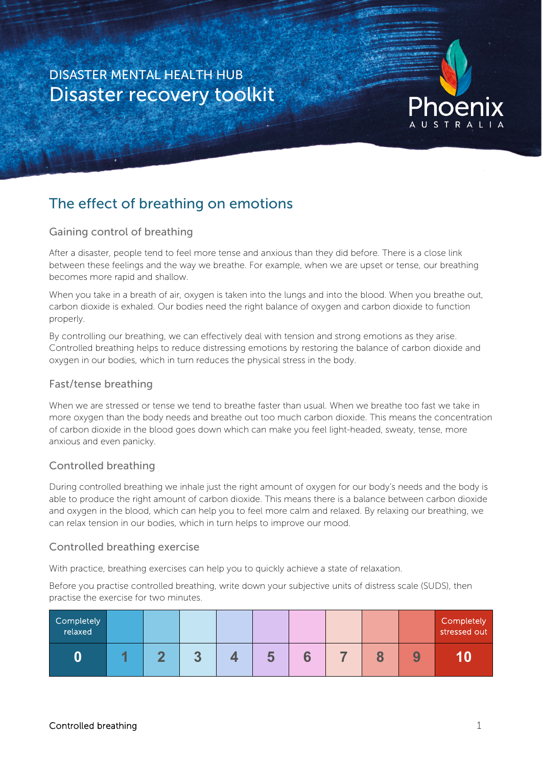# DISASTER MENTAL HEALTH HUB Disaster recovery toolkit



# The effect of breathing on emotions

# Gaining control of breathing

After a disaster, people tend to feel more tense and anxious than they did before. There is a close link between these feelings and the way we breathe. For example, when we are upset or tense, our breathing becomes more rapid and shallow.

When you take in a breath of air, oxygen is taken into the lungs and into the blood. When you breathe out, carbon dioxide is exhaled. Our bodies need the right balance of oxygen and carbon dioxide to function properly.

By controlling our breathing, we can effectively deal with tension and strong emotions as they arise. Controlled breathing helps to reduce distressing emotions by restoring the balance of carbon dioxide and oxygen in our bodies, which in turn reduces the physical stress in the body.

### Fast/tense breathing

When we are stressed or tense we tend to breathe faster than usual. When we breathe too fast we take in more oxygen than the body needs and breathe out too much carbon dioxide. This means the concentration of carbon dioxide in the blood goes down which can make you feel light-headed, sweaty, tense, more anxious and even panicky.

# Controlled breathing

During controlled breathing we inhale just the right amount of oxygen for our body's needs and the body is able to produce the right amount of carbon dioxide. This means there is a balance between carbon dioxide and oxygen in the blood, which can help you to feel more calm and relaxed. By relaxing our breathing, we can relax tension in our bodies, which in turn helps to improve our mood.

### Controlled breathing exercise

With practice, breathing exercises can help you to quickly achieve a state of relaxation.

Before you practise controlled breathing, write down your subjective units of distress scale (SUDS), then practise the exercise for two minutes.

| Completely<br>relaxed |  |                     |  |  |                   | Completely<br>stressed out |
|-----------------------|--|---------------------|--|--|-------------------|----------------------------|
| 0                     |  | . .<br>$\mathbf{m}$ |  |  | ч<br>$\mathbf{v}$ |                            |